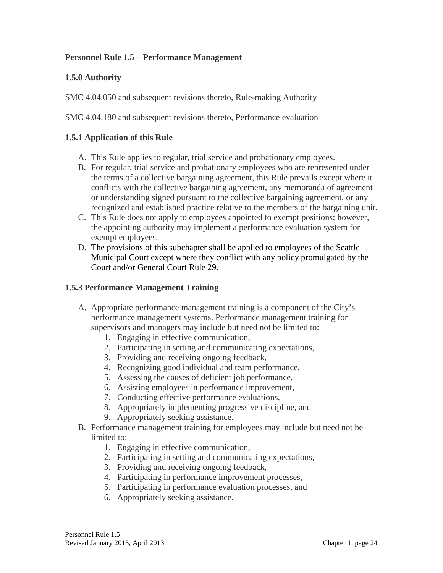## **Personnel Rule 1.5 – Performance Management**

#### **1.5.0 Authority**

SMC 4.04.050 and subsequent revisions thereto, Rule-making Authority

SMC 4.04.180 and subsequent revisions thereto, Performance evaluation

## **1.5.1 Application of this Rule**

- A. This Rule applies to regular, trial service and probationary employees.
- B. For regular, trial service and probationary employees who are represented under the terms of a collective bargaining agreement, this Rule prevails except where it conflicts with the collective bargaining agreement, any memoranda of agreement or understanding signed pursuant to the collective bargaining agreement, or any recognized and established practice relative to the members of the bargaining unit.
- C. This Rule does not apply to employees appointed to exempt positions; however, the appointing authority may implement a performance evaluation system for exempt employees.
- D. The provisions of this subchapter shall be applied to employees of the Seattle Municipal Court except where they conflict with any policy promulgated by the Court and/or General Court Rule 29.

#### **1.5.3 Performance Management Training**

- A. Appropriate performance management training is a component of the City's performance management systems. Performance management training for supervisors and managers may include but need not be limited to:
	- 1. Engaging in effective communication,
	- 2. Participating in setting and communicating expectations,
	- 3. Providing and receiving ongoing feedback,
	- 4. Recognizing good individual and team performance,
	- 5. Assessing the causes of deficient job performance,
	- 6. Assisting employees in performance improvement,
	- 7. Conducting effective performance evaluations,
	- 8. Appropriately implementing progressive discipline, and
	- 9. Appropriately seeking assistance.
- B. Performance management training for employees may include but need not be limited to:
	- 1. Engaging in effective communication,
	- 2. Participating in setting and communicating expectations,
	- 3. Providing and receiving ongoing feedback,
	- 4. Participating in performance improvement processes,
	- 5. Participating in performance evaluation processes, and
	- 6. Appropriately seeking assistance.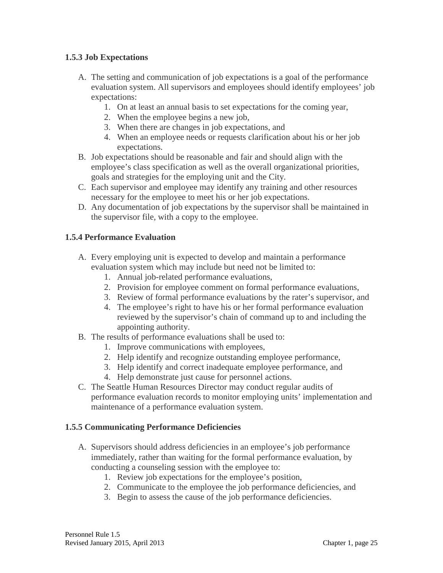## **1.5.3 Job Expectations**

- A. The setting and communication of job expectations is a goal of the performance evaluation system. All supervisors and employees should identify employees' job expectations:
	- 1. On at least an annual basis to set expectations for the coming year,
	- 2. When the employee begins a new job,
	- 3. When there are changes in job expectations, and
	- 4. When an employee needs or requests clarification about his or her job expectations.
- B. Job expectations should be reasonable and fair and should align with the employee's class specification as well as the overall organizational priorities, goals and strategies for the employing unit and the City.
- C. Each supervisor and employee may identify any training and other resources necessary for the employee to meet his or her job expectations.
- D. Any documentation of job expectations by the supervisor shall be maintained in the supervisor file, with a copy to the employee.

## **1.5.4 Performance Evaluation**

- A. Every employing unit is expected to develop and maintain a performance evaluation system which may include but need not be limited to:
	- 1. Annual job-related performance evaluations,
	- 2. Provision for employee comment on formal performance evaluations,
	- 3. Review of formal performance evaluations by the rater's supervisor, and
	- 4. The employee's right to have his or her formal performance evaluation reviewed by the supervisor's chain of command up to and including the appointing authority.
- B. The results of performance evaluations shall be used to:
	- 1. Improve communications with employees,
	- 2. Help identify and recognize outstanding employee performance,
	- 3. Help identify and correct inadequate employee performance, and
	- 4. Help demonstrate just cause for personnel actions.
- C. The Seattle Human Resources Director may conduct regular audits of performance evaluation records to monitor employing units' implementation and maintenance of a performance evaluation system.

#### **1.5.5 Communicating Performance Deficiencies**

- A. Supervisors should address deficiencies in an employee's job performance immediately, rather than waiting for the formal performance evaluation, by conducting a counseling session with the employee to:
	- 1. Review job expectations for the employee's position,
	- 2. Communicate to the employee the job performance deficiencies, and
	- 3. Begin to assess the cause of the job performance deficiencies.